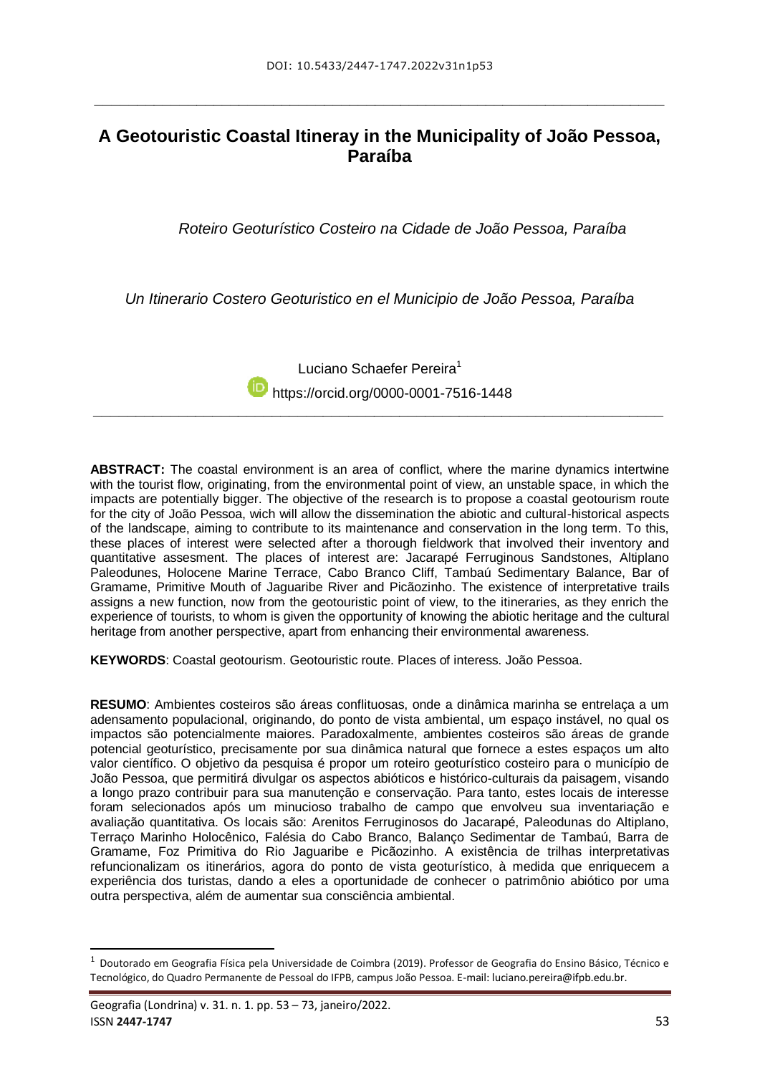**\_\_\_\_\_\_\_\_\_\_\_\_\_\_\_\_\_\_\_\_\_\_\_\_\_\_\_\_\_\_\_\_\_\_\_\_\_\_\_\_\_\_\_\_\_\_\_\_\_\_\_\_\_\_\_\_\_\_\_\_\_\_\_\_\_\_\_**

## **A Geotouristic Coastal Itineray in the Municipality of João Pessoa, Paraíba**

*Roteiro Geoturístico Costeiro na Cidade de João Pessoa, Paraíba*

*Un Itinerario Costero Geoturistico en el Municipio de João Pessoa, Paraíba*

Luciano Schaefer Pereira<sup>1</sup> **https://orcid.org[/0000-0001-7516-1448](https://orcid.org/0000-0001-7516-1448)** *\_\_\_\_\_\_\_\_\_\_\_\_\_\_\_\_\_\_\_\_\_\_\_\_\_\_\_\_\_\_\_\_\_\_\_\_\_\_\_\_\_\_\_\_\_\_\_\_\_\_\_\_\_\_\_\_\_\_\_\_\_\_\_\_\_\_\_*

**ABSTRACT:** The coastal environment is an area of conflict, where the marine dynamics intertwine with the tourist flow, originating, from the environmental point of view, an unstable space, in which the impacts are potentially bigger. The objective of the research is to propose a coastal geotourism route for the city of João Pessoa, wich will allow the dissemination the abiotic and cultural-historical aspects of the landscape, aiming to contribute to its maintenance and conservation in the long term. To this, these places of interest were selected after a thorough fieldwork that involved their inventory and quantitative assesment. The places of interest are: Jacarapé Ferruginous Sandstones, Altiplano Paleodunes, Holocene Marine Terrace, Cabo Branco Cliff, Tambaú Sedimentary Balance, Bar of Gramame, Primitive Mouth of Jaguaribe River and Picãozinho. The existence of interpretative trails assigns a new function, now from the geotouristic point of view, to the itineraries, as they enrich the experience of tourists, to whom is given the opportunity of knowing the abiotic heritage and the cultural heritage from another perspective, apart from enhancing their environmental awareness.

**KEYWORDS**: Coastal geotourism. Geotouristic route. Places of interess. João Pessoa.

**RESUMO**: Ambientes costeiros são áreas conflituosas, onde a dinâmica marinha se entrelaça a um adensamento populacional, originando, do ponto de vista ambiental, um espaço instável, no qual os impactos são potencialmente maiores. Paradoxalmente, ambientes costeiros são áreas de grande potencial geoturístico, precisamente por sua dinâmica natural que fornece a estes espaços um alto valor científico. O objetivo da pesquisa é propor um roteiro geoturístico costeiro para o município de João Pessoa, que permitirá divulgar os aspectos abióticos e histórico-culturais da paisagem, visando a longo prazo contribuir para sua manutenção e conservação. Para tanto, estes locais de interesse foram selecionados após um minucioso trabalho de campo que envolveu sua inventariação e avaliação quantitativa. Os locais são: Arenitos Ferruginosos do Jacarapé, Paleodunas do Altiplano, Terraço Marinho Holocênico, Falésia do Cabo Branco, Balanço Sedimentar de Tambaú, Barra de Gramame, Foz Primitiva do Rio Jaguaribe e Picãozinho. A existência de trilhas interpretativas refuncionalizam os itinerários, agora do ponto de vista geoturístico, à medida que enriquecem a experiência dos turistas, dando a eles a oportunidade de conhecer o patrimônio abiótico por uma outra perspectiva, além de aumentar sua consciência ambiental.

-

<sup>1</sup> Doutorado em Geografia Física pela Universidade de Coimbra (2019). Professor de Geografia do Ensino Básico, Técnico e Tecnológico, do Quadro Permanente de Pessoal do IFPB, campus João Pessoa. E-mail: luciano.pereira@ifpb.edu.br.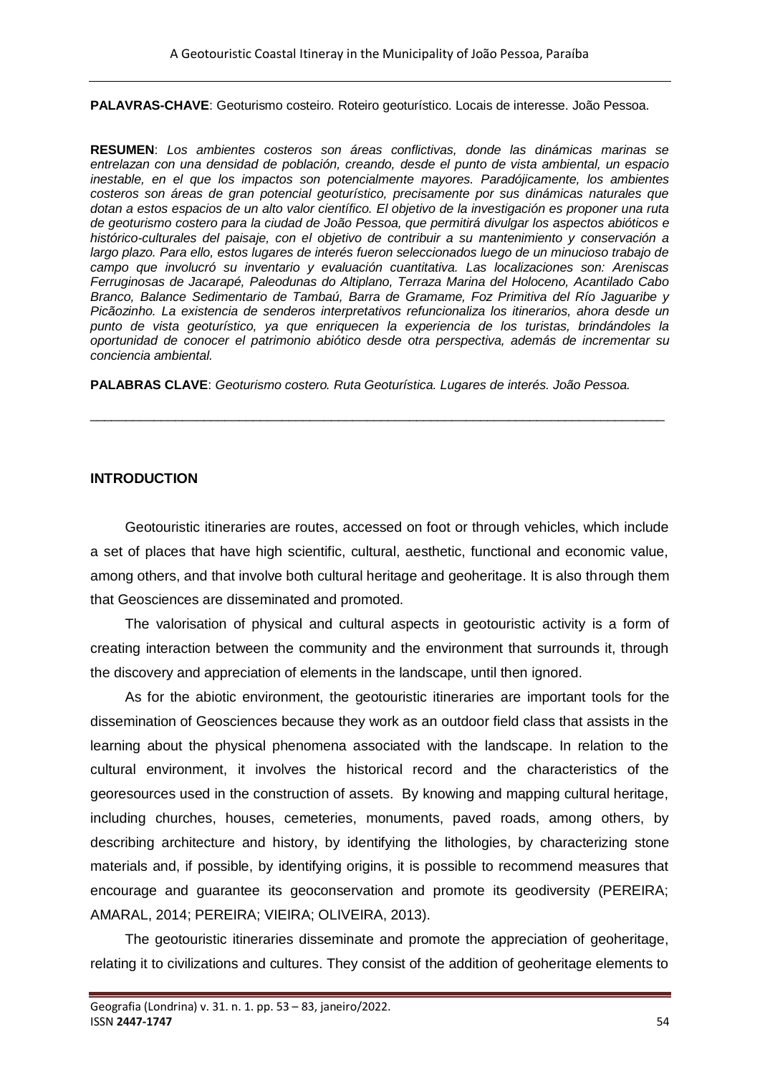**PALAVRAS-CHAVE**: Geoturismo costeiro. Roteiro geoturístico. Locais de interesse. João Pessoa.

**RESUMEN**: *Los ambientes costeros son áreas conflictivas, donde las dinámicas marinas se entrelazan con una densidad de población, creando, desde el punto de vista ambiental, un espacio inestable, en el que los impactos son potencialmente mayores. Paradójicamente, los ambientes costeros son áreas de gran potencial geoturístico, precisamente por sus dinámicas naturales que dotan a estos espacios de un alto valor científico. El objetivo de la investigación es proponer una ruta de geoturismo costero para la ciudad de João Pessoa, que permitirá divulgar los aspectos abióticos e histórico-culturales del paisaje, con el objetivo de contribuir a su mantenimiento y conservación a largo plazo. Para ello, estos lugares de interés fueron seleccionados luego de un minucioso trabajo de campo que involucró su inventario y evaluación cuantitativa. Las localizaciones son: Areniscas Ferruginosas de Jacarapé, Paleodunas do Altiplano, Terraza Marina del Holoceno, Acantilado Cabo Branco, Balance Sedimentario de Tambaú, Barra de Gramame, Foz Primitiva del Río Jaguaribe y Picãozinho. La existencia de senderos interpretativos refuncionaliza los itinerarios, ahora desde un punto de vista geoturístico, ya que enriquecen la experiencia de los turistas, brindándoles la oportunidad de conocer el patrimonio abiótico desde otra perspectiva, además de incrementar su conciencia ambiental.*

**PALABRAS CLAVE**: *Geoturismo costero. Ruta Geoturística. Lugares de interés. João Pessoa.*

 $\_$  ,  $\_$  ,  $\_$  ,  $\_$  ,  $\_$  ,  $\_$  ,  $\_$  ,  $\_$  ,  $\_$  ,  $\_$  ,  $\_$  ,  $\_$  ,  $\_$  ,  $\_$  ,  $\_$  ,  $\_$  ,  $\_$  ,  $\_$  ,  $\_$  ,  $\_$  ,  $\_$  ,  $\_$  ,  $\_$  ,  $\_$  ,  $\_$  ,  $\_$  ,  $\_$  ,  $\_$  ,  $\_$  ,  $\_$  ,  $\_$  ,  $\_$  ,  $\_$  ,  $\_$  ,  $\_$  ,  $\_$  ,  $\_$  ,

#### **INTRODUCTION**

Geotouristic itineraries are routes, accessed on foot or through vehicles, which include a set of places that have high scientific, cultural, aesthetic, functional and economic value, among others, and that involve both cultural heritage and geoheritage. It is also through them that Geosciences are disseminated and promoted.

The valorisation of physical and cultural aspects in geotouristic activity is a form of creating interaction between the community and the environment that surrounds it, through the discovery and appreciation of elements in the landscape, until then ignored.

As for the abiotic environment, the geotouristic itineraries are important tools for the dissemination of Geosciences because they work as an outdoor field class that assists in the learning about the physical phenomena associated with the landscape. In relation to the cultural environment, it involves the historical record and the characteristics of the georesources used in the construction of assets. By knowing and mapping cultural heritage, including churches, houses, cemeteries, monuments, paved roads, among others, by describing architecture and history, by identifying the lithologies, by characterizing stone materials and, if possible, by identifying origins, it is possible to recommend measures that encourage and guarantee its geoconservation and promote its geodiversity (PEREIRA; AMARAL, 2014; PEREIRA; VIEIRA; OLIVEIRA, 2013).

The geotouristic itineraries disseminate and promote the appreciation of geoheritage, relating it to civilizations and cultures. They consist of the addition of geoheritage elements to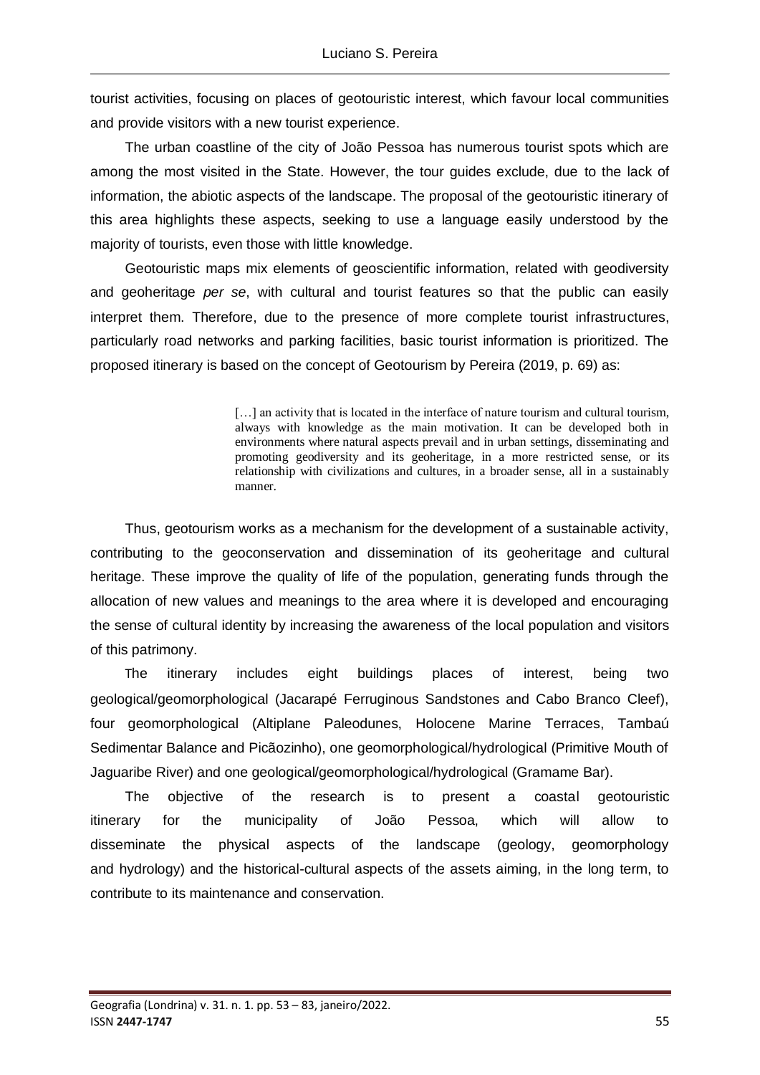tourist activities, focusing on places of geotouristic interest, which favour local communities and provide visitors with a new tourist experience.

The urban coastline of the city of João Pessoa has numerous tourist spots which are among the most visited in the State. However, the tour guides exclude, due to the lack of information, the abiotic aspects of the landscape. The proposal of the geotouristic itinerary of this area highlights these aspects, seeking to use a language easily understood by the majority of tourists, even those with little knowledge.

Geotouristic maps mix elements of geoscientific information, related with geodiversity and geoheritage *per se*, with cultural and tourist features so that the public can easily interpret them. Therefore, due to the presence of more complete tourist infrastructures, particularly road networks and parking facilities, basic tourist information is prioritized. The proposed itinerary is based on the concept of Geotourism by Pereira (2019, p. 69) as:

> [...] an activity that is located in the interface of nature tourism and cultural tourism, always with knowledge as the main motivation. It can be developed both in environments where natural aspects prevail and in urban settings, disseminating and promoting geodiversity and its geoheritage, in a more restricted sense, or its relationship with civilizations and cultures, in a broader sense, all in a sustainably manner.

Thus, geotourism works as a mechanism for the development of a sustainable activity, contributing to the geoconservation and dissemination of its geoheritage and cultural heritage. These improve the quality of life of the population, generating funds through the allocation of new values and meanings to the area where it is developed and encouraging the sense of cultural identity by increasing the awareness of the local population and visitors of this patrimony.

The itinerary includes eight buildings places of interest, being two geological/geomorphological (Jacarapé Ferruginous Sandstones and Cabo Branco Cleef), four geomorphological (Altiplane Paleodunes, Holocene Marine Terraces, Tambaú Sedimentar Balance and Picãozinho), one geomorphological/hydrological (Primitive Mouth of Jaguaribe River) and one geological/geomorphological/hydrological (Gramame Bar).

The objective of the research is to present a coastal geotouristic itinerary for the municipality of João Pessoa, which will allow to disseminate the physical aspects of the landscape (geology, geomorphology and hydrology) and the historical-cultural aspects of the assets aiming, in the long term, to contribute to its maintenance and conservation.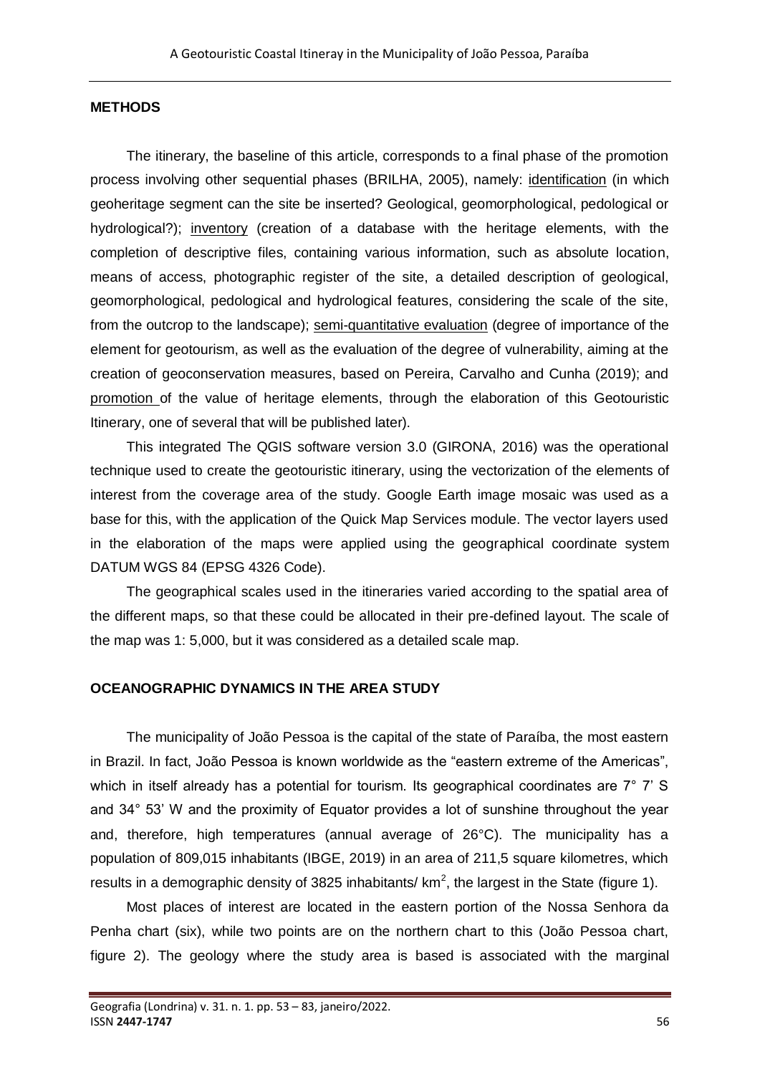## **METHODS**

The itinerary, the baseline of this article, corresponds to a final phase of the promotion process involving other sequential phases (BRILHA, 2005), namely: identification (in which geoheritage segment can the site be inserted? Geological, geomorphological, pedological or hydrological?); inventory (creation of a database with the heritage elements, with the completion of descriptive files, containing various information, such as absolute location, means of access, photographic register of the site, a detailed description of geological, geomorphological, pedological and hydrological features, considering the scale of the site, from the outcrop to the landscape); semi-quantitative evaluation (degree of importance of the element for geotourism, as well as the evaluation of the degree of vulnerability, aiming at the creation of geoconservation measures, based on Pereira, Carvalho and Cunha (2019); and promotion of the value of heritage elements, through the elaboration of this Geotouristic Itinerary, one of several that will be published later).

This integrated The QGIS software version 3.0 (GIRONA, 2016) was the operational technique used to create the geotouristic itinerary, using the vectorization of the elements of interest from the coverage area of the study. Google Earth image mosaic was used as a base for this, with the application of the Quick Map Services module. The vector layers used in the elaboration of the maps were applied using the geographical coordinate system DATUM WGS 84 (EPSG 4326 Code).

The geographical scales used in the itineraries varied according to the spatial area of the different maps, so that these could be allocated in their pre-defined layout. The scale of the map was 1: 5,000, but it was considered as a detailed scale map.

#### **OCEANOGRAPHIC DYNAMICS IN THE AREA STUDY**

The municipality of João Pessoa is the capital of the state of Paraíba, the most eastern in Brazil. In fact, João Pessoa is known worldwide as the "eastern extreme of the Americas", which in itself already has a potential for tourism. Its geographical coordinates are 7° 7' S and 34° 53' W and the proximity of Equator provides a lot of sunshine throughout the year and, therefore, high temperatures (annual average of 26°C). The municipality has a population of 809,015 inhabitants (IBGE, 2019) in an area of 211,5 square kilometres, which results in a demographic density of 3825 inhabitants/  $km^2$ , the largest in the State (figure 1).

Most places of interest are located in the eastern portion of the Nossa Senhora da Penha chart (six), while two points are on the northern chart to this (João Pessoa chart, figure 2). The geology where the study area is based is associated with the marginal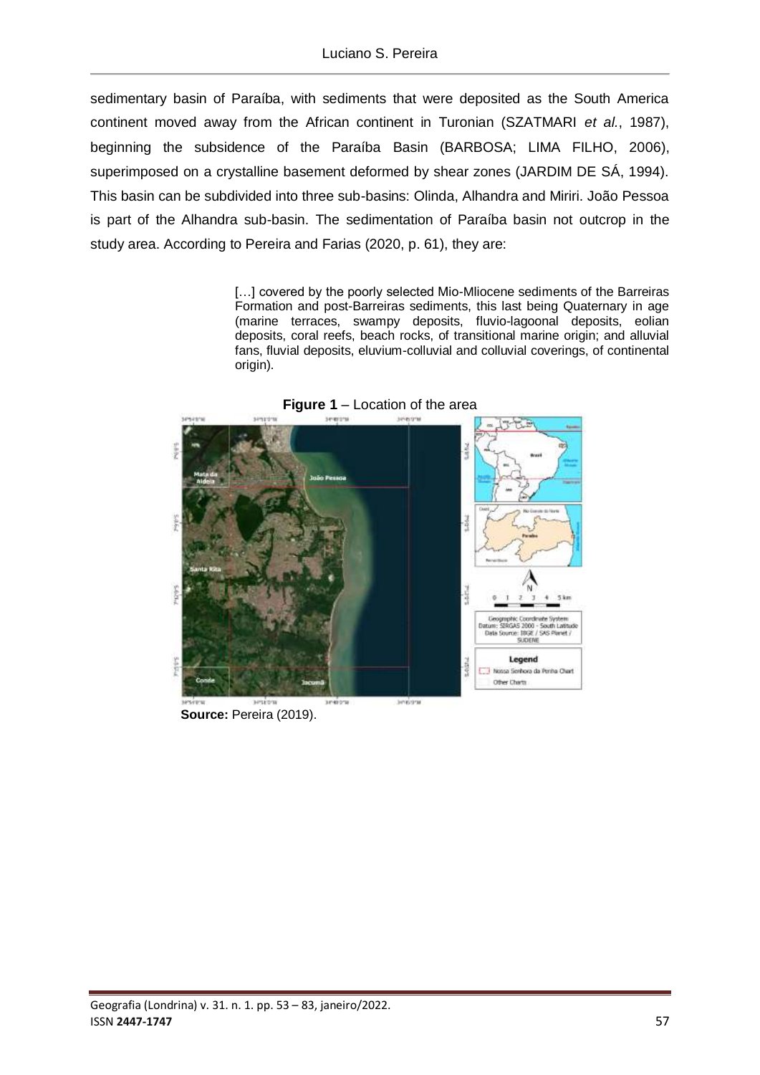sedimentary basin of Paraíba, with sediments that were deposited as the South America continent moved away from the African continent in Turonian (SZATMARI *et al.*, 1987), beginning the subsidence of the Paraíba Basin (BARBOSA; LIMA FILHO, 2006), superimposed on a crystalline basement deformed by shear zones (JARDIM DE SÁ, 1994). This basin can be subdivided into three sub-basins: Olinda, Alhandra and Miriri. João Pessoa is part of the Alhandra sub-basin. The sedimentation of Paraíba basin not outcrop in the study area. According to Pereira and Farias (2020, p. 61), they are:

> [...] covered by the poorly selected Mio-Mliocene sediments of the Barreiras Formation and post-Barreiras sediments, this last being Quaternary in age (marine terraces, swampy deposits, fluvio-lagoonal deposits, eolian deposits, coral reefs, beach rocks, of transitional marine origin; and alluvial fans, fluvial deposits, eluvium-colluvial and colluvial coverings, of continental origin).



**Figure 1** – Location of the area

**Source:** Pereira (2019).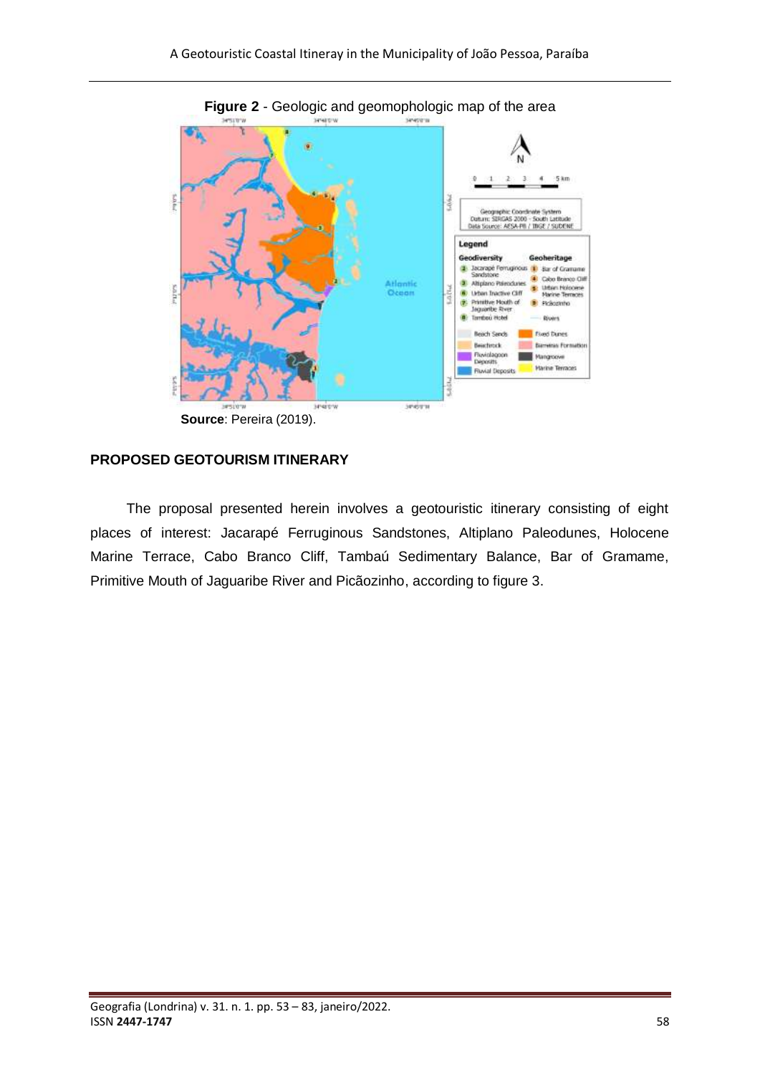

# **PROPOSED GEOTOURISM ITINERARY**

The proposal presented herein involves a geotouristic itinerary consisting of eight places of interest: Jacarapé Ferruginous Sandstones, Altiplano Paleodunes, Holocene Marine Terrace, Cabo Branco Cliff, Tambaú Sedimentary Balance, Bar of Gramame, Primitive Mouth of Jaguaribe River and Picãozinho, according to figure 3.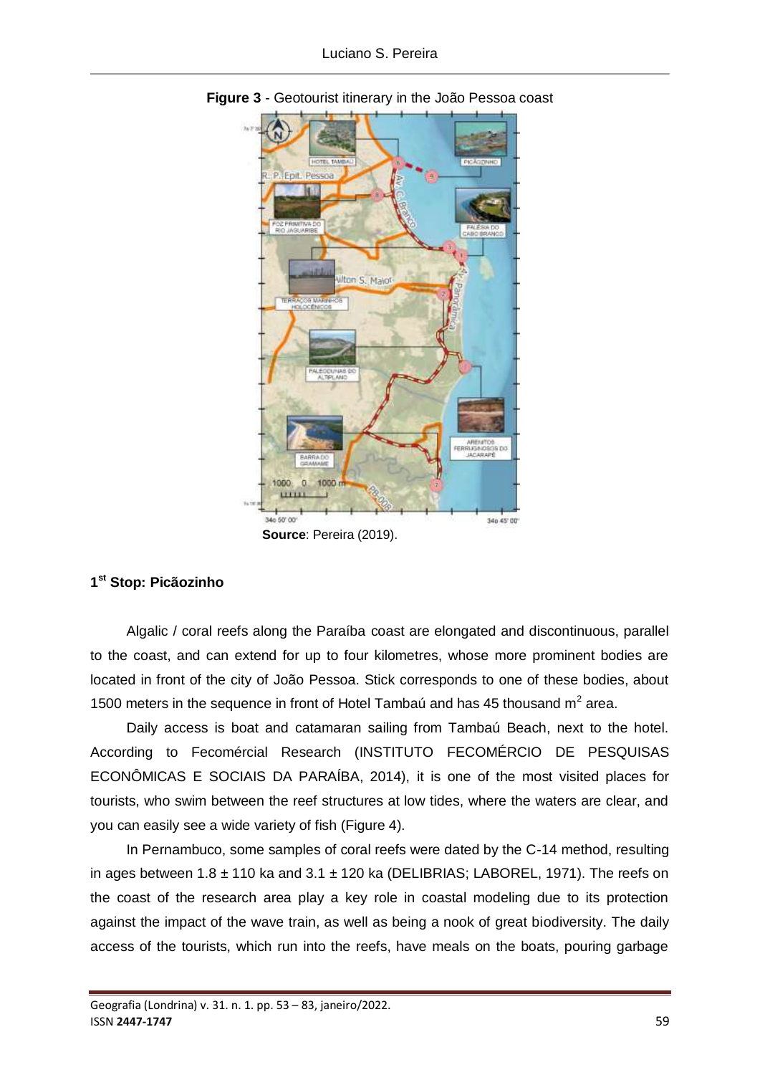

**Figure 3** - Geotourist itinerary in the João Pessoa coast

**Source**: Pereira (2019).

## **1 st Stop: Picãozinho**

Algalic / coral reefs along the Paraíba coast are elongated and discontinuous, parallel to the coast, and can extend for up to four kilometres, whose more prominent bodies are located in front of the city of João Pessoa. Stick corresponds to one of these bodies, about 1500 meters in the sequence in front of Hotel Tambaú and has 45 thousand  $m^2$  area.

Daily access is boat and catamaran sailing from Tambaú Beach, next to the hotel. According to Fecomércial Research (INSTITUTO FECOMÉRCIO DE PESQUISAS ECONÔMICAS E SOCIAIS DA PARAÍBA, 2014), it is one of the most visited places for tourists, who swim between the reef structures at low tides, where the waters are clear, and you can easily see a wide variety of fish (Figure 4).

In Pernambuco, some samples of coral reefs were dated by the C-14 method, resulting in ages between  $1.8 \pm 110$  ka and  $3.1 \pm 120$  ka (DELIBRIAS; LABOREL, 1971). The reefs on the coast of the research area play a key role in coastal modeling due to its protection against the impact of the wave train, as well as being a nook of great biodiversity. The daily access of the tourists, which run into the reefs, have meals on the boats, pouring garbage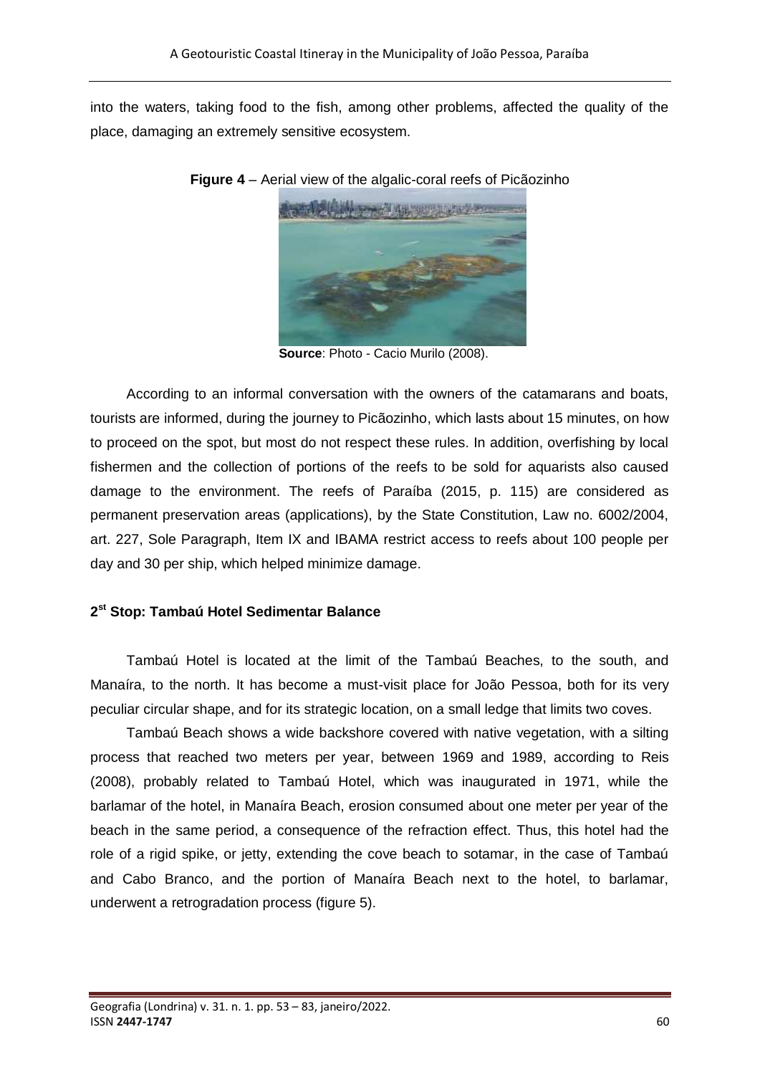into the waters, taking food to the fish, among other problems, affected the quality of the place, damaging an extremely sensitive ecosystem.



**Figure 4** – Aerial view of the algalic-coral reefs of Picãozinho

 **Source**: Photo - Cacio Murilo (2008).

According to an informal conversation with the owners of the catamarans and boats, tourists are informed, during the journey to Picãozinho, which lasts about 15 minutes, on how to proceed on the spot, but most do not respect these rules. In addition, overfishing by local fishermen and the collection of portions of the reefs to be sold for aquarists also caused damage to the environment. The reefs of Paraíba (2015, p. 115) are considered as permanent preservation areas (applications), by the State Constitution, Law no. 6002/2004, art. 227, Sole Paragraph, Item IX and IBAMA restrict access to reefs about 100 people per day and 30 per ship, which helped minimize damage.

#### **2 st Stop: Tambaú Hotel Sedimentar Balance**

Tambaú Hotel is located at the limit of the Tambaú Beaches, to the south, and Manaíra, to the north. It has become a must-visit place for João Pessoa, both for its very peculiar circular shape, and for its strategic location, on a small ledge that limits two coves.

Tambaú Beach shows a wide backshore covered with native vegetation, with a silting process that reached two meters per year, between 1969 and 1989, according to Reis (2008), probably related to Tambaú Hotel, which was inaugurated in 1971, while the barlamar of the hotel, in Manaíra Beach, erosion consumed about one meter per year of the beach in the same period, a consequence of the refraction effect. Thus, this hotel had the role of a rigid spike, or jetty, extending the cove beach to sotamar, in the case of Tambaú and Cabo Branco, and the portion of Manaíra Beach next to the hotel, to barlamar, underwent a retrogradation process (figure 5).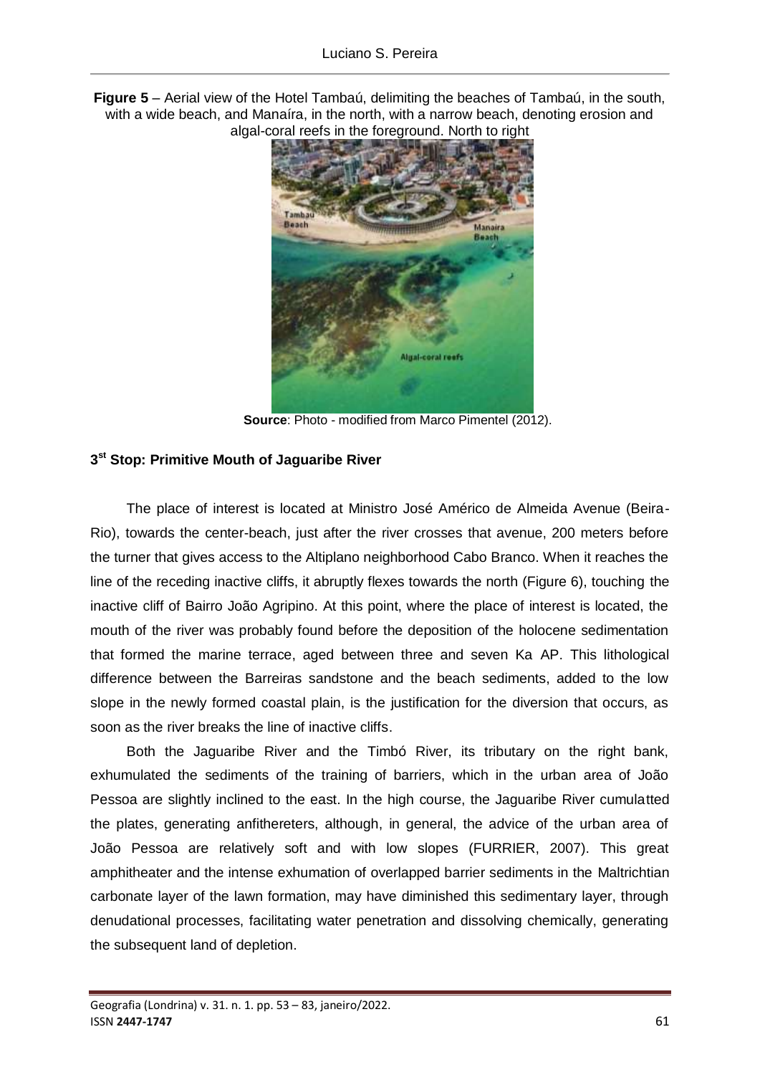**Figure 5** – Aerial view of the Hotel Tambaú, delimiting the beaches of Tambaú, in the south, with a wide beach, and Manaíra, in the north, with a narrow beach, denoting erosion and algal-coral reefs in the foreground. North to right



**Source**: Photo - modified from Marco Pimentel (2012).

## **3 st Stop: Primitive Mouth of Jaguaribe River**

The place of interest is located at Ministro José Américo de Almeida Avenue (Beira-Rio), towards the center-beach, just after the river crosses that avenue, 200 meters before the turner that gives access to the Altiplano neighborhood Cabo Branco. When it reaches the line of the receding inactive cliffs, it abruptly flexes towards the north (Figure 6), touching the inactive cliff of Bairro João Agripino. At this point, where the place of interest is located, the mouth of the river was probably found before the deposition of the holocene sedimentation that formed the marine terrace, aged between three and seven Ka AP. This lithological difference between the Barreiras sandstone and the beach sediments, added to the low slope in the newly formed coastal plain, is the justification for the diversion that occurs, as soon as the river breaks the line of inactive cliffs.

Both the Jaguaribe River and the Timbó River, its tributary on the right bank, exhumulated the sediments of the training of barriers, which in the urban area of João Pessoa are slightly inclined to the east. In the high course, the Jaguaribe River cumulatted the plates, generating anfithereters, although, in general, the advice of the urban area of João Pessoa are relatively soft and with low slopes (FURRIER, 2007). This great amphitheater and the intense exhumation of overlapped barrier sediments in the Maltrichtian carbonate layer of the lawn formation, may have diminished this sedimentary layer, through denudational processes, facilitating water penetration and dissolving chemically, generating the subsequent land of depletion.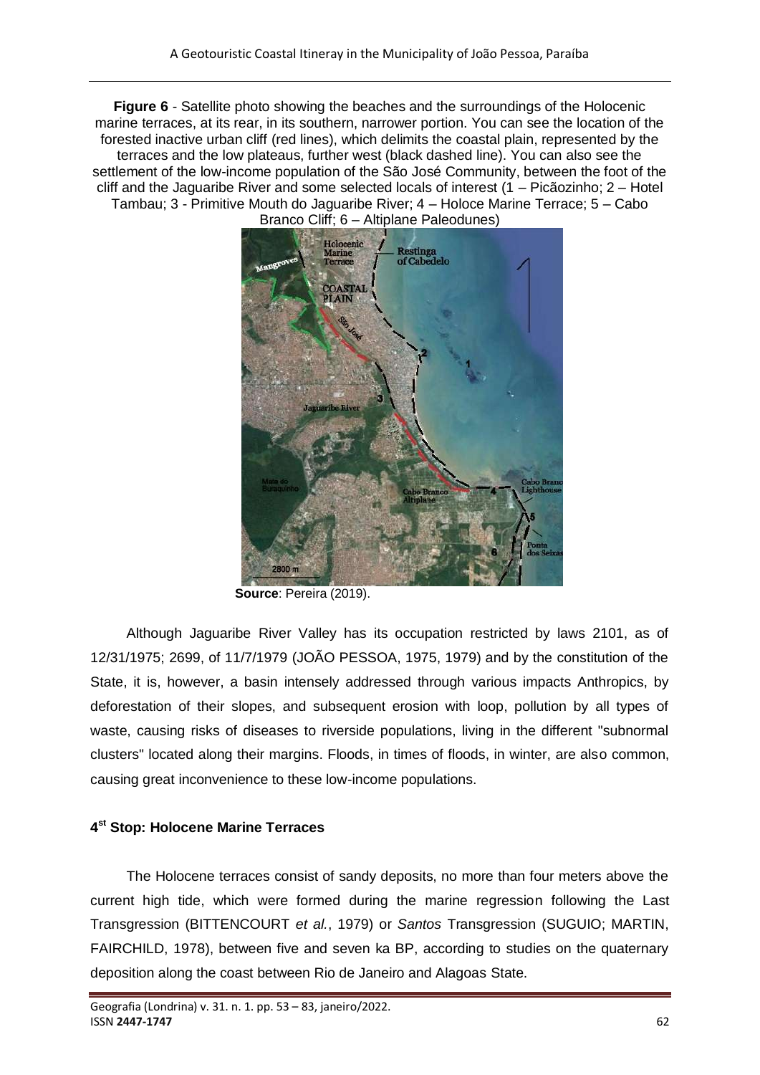**Figure 6** - Satellite photo showing the beaches and the surroundings of the Holocenic marine terraces, at its rear, in its southern, narrower portion. You can see the location of the forested inactive urban cliff (red lines), which delimits the coastal plain, represented by the terraces and the low plateaus, further west (black dashed line). You can also see the settlement of the low-income population of the São José Community, between the foot of the cliff and the Jaguaribe River and some selected locals of interest (1 – Picãozinho; 2 – Hotel Tambau; 3 - Primitive Mouth do Jaguaribe River; 4 – Holoce Marine Terrace; 5 – Cabo Branco Cliff; 6 – Altiplane Paleodunes)



**Source**: Pereira (2019).

Although Jaguaribe River Valley has its occupation restricted by laws 2101, as of 12/31/1975; 2699, of 11/7/1979 (JOÃO PESSOA, 1975, 1979) and by the constitution of the State, it is, however, a basin intensely addressed through various impacts Anthropics, by deforestation of their slopes, and subsequent erosion with loop, pollution by all types of waste, causing risks of diseases to riverside populations, living in the different "subnormal clusters" located along their margins. Floods, in times of floods, in winter, are also common, causing great inconvenience to these low-income populations.

## **4 st Stop: Holocene Marine Terraces**

The Holocene terraces consist of sandy deposits, no more than four meters above the current high tide, which were formed during the marine regression following the Last Transgression (BITTENCOURT *et al.*, 1979) or *Santos* Transgression (SUGUIO; MARTIN, FAIRCHILD, 1978), between five and seven ka BP, according to studies on the quaternary deposition along the coast between Rio de Janeiro and Alagoas State.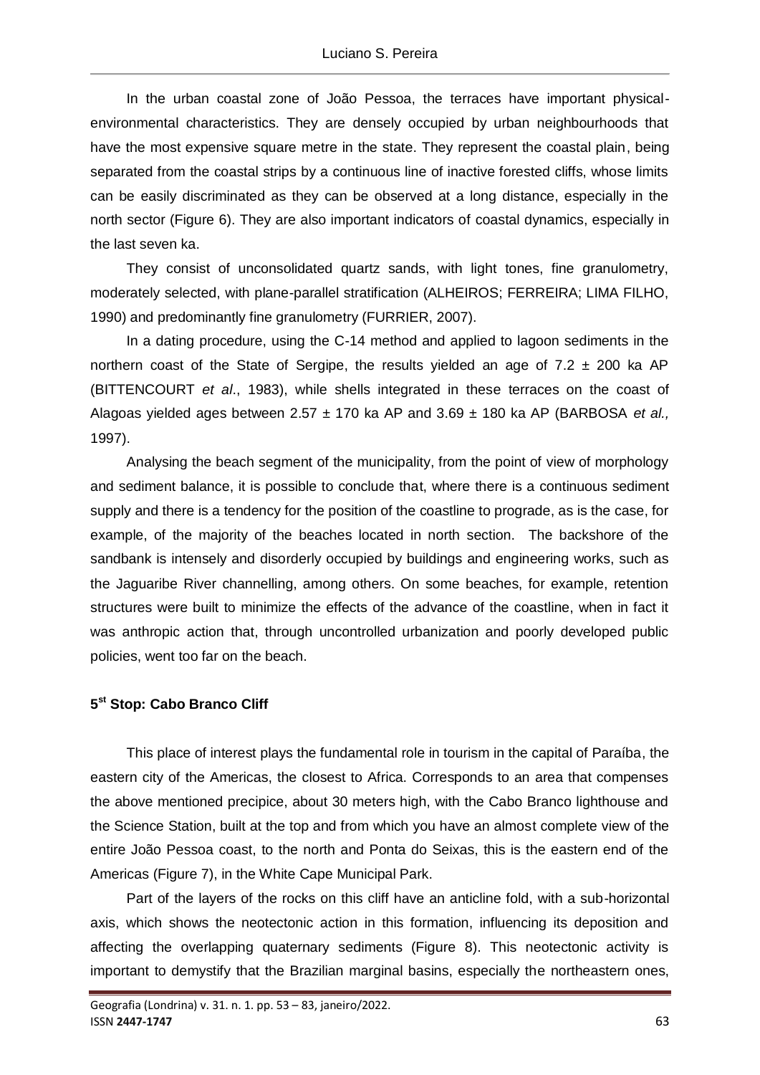In the urban coastal zone of João Pessoa, the terraces have important physicalenvironmental characteristics. They are densely occupied by urban neighbourhoods that have the most expensive square metre in the state. They represent the coastal plain, being separated from the coastal strips by a continuous line of inactive forested cliffs, whose limits can be easily discriminated as they can be observed at a long distance, especially in the north sector (Figure 6). They are also important indicators of coastal dynamics, especially in the last seven ka.

They consist of unconsolidated quartz sands, with light tones, fine granulometry, moderately selected, with plane-parallel stratification (ALHEIROS; FERREIRA; LIMA FILHO, 1990) and predominantly fine granulometry (FURRIER, 2007).

In a dating procedure, using the C-14 method and applied to lagoon sediments in the northern coast of the State of Sergipe, the results yielded an age of  $7.2 \pm 200$  ka AP (BITTENCOURT *et al*., 1983), while shells integrated in these terraces on the coast of Alagoas yielded ages between 2.57 ± 170 ka AP and 3.69 ± 180 ka AP (BARBOSA *et al.,* 1997).

Analysing the beach segment of the municipality, from the point of view of morphology and sediment balance, it is possible to conclude that, where there is a continuous sediment supply and there is a tendency for the position of the coastline to prograde, as is the case, for example, of the majority of the beaches located in north section. The backshore of the sandbank is intensely and disorderly occupied by buildings and engineering works, such as the Jaguaribe River channelling, among others. On some beaches, for example, retention structures were built to minimize the effects of the advance of the coastline, when in fact it was anthropic action that, through uncontrolled urbanization and poorly developed public policies, went too far on the beach.

#### **5 st Stop: Cabo Branco Cliff**

This place of interest plays the fundamental role in tourism in the capital of Paraíba, the eastern city of the Americas, the closest to Africa. Corresponds to an area that compenses the above mentioned precipice, about 30 meters high, with the Cabo Branco lighthouse and the Science Station, built at the top and from which you have an almost complete view of the entire João Pessoa coast, to the north and Ponta do Seixas, this is the eastern end of the Americas (Figure 7), in the White Cape Municipal Park.

Part of the layers of the rocks on this cliff have an anticline fold, with a sub-horizontal axis, which shows the neotectonic action in this formation, influencing its deposition and affecting the overlapping quaternary sediments (Figure 8). This neotectonic activity is important to demystify that the Brazilian marginal basins, especially the northeastern ones,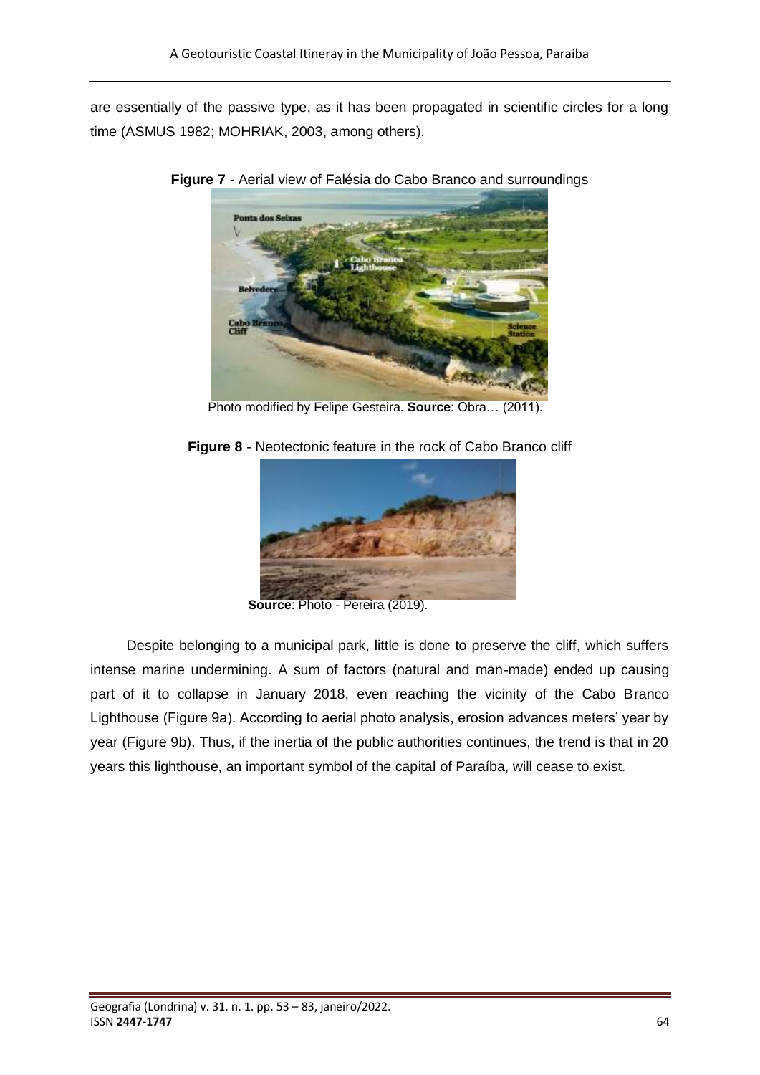are essentially of the passive type, as it has been propagated in scientific circles for a long time (ASMUS 1982; MOHRIAK, 2003, among others).



**Figure 7** - Aerial view of Falésia do Cabo Branco and surroundings

Photo modified by Felipe Gesteira. **Source**: Obra… (2011).



**Figure 8** - Neotectonic feature in the rock of Cabo Branco cliff

 **Source**: Photo - Pereira (2019).

Despite belonging to a municipal park, little is done to preserve the cliff, which suffers intense marine undermining. A sum of factors (natural and man-made) ended up causing part of it to collapse in January 2018, even reaching the vicinity of the Cabo Branco Lighthouse (Figure 9a). According to aerial photo analysis, erosion advances meters' year by year (Figure 9b). Thus, if the inertia of the public authorities continues, the trend is that in 20 years this lighthouse, an important symbol of the capital of Paraíba, will cease to exist.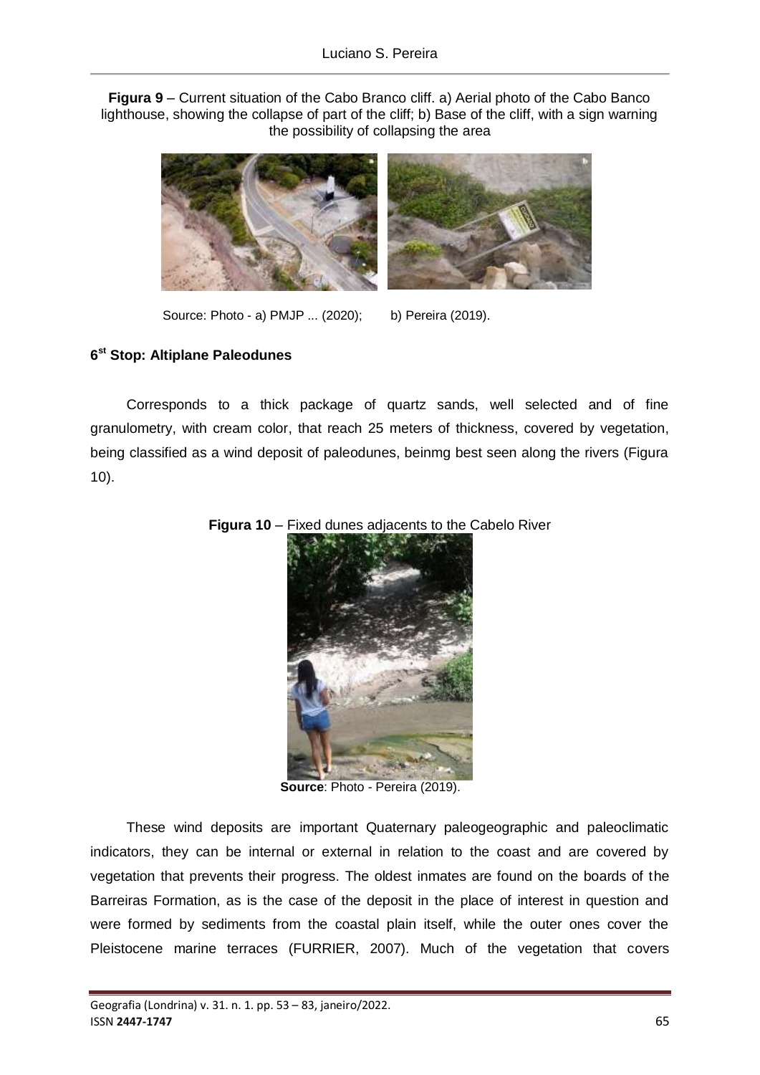**Figura 9** – Current situation of the Cabo Branco cliff. a) Aerial photo of the Cabo Banco lighthouse, showing the collapse of part of the cliff; b) Base of the cliff, with a sign warning the possibility of collapsing the area



Source: Photo - a) PMJP ... (2020); b) Pereira (2019).

## **6 st Stop: Altiplane Paleodunes**

Corresponds to a thick package of quartz sands, well selected and of fine granulometry, with cream color, that reach 25 meters of thickness, covered by vegetation, being classified as a wind deposit of paleodunes, beinmg best seen along the rivers (Figura 10).



**Figura 10** – Fixed dunes adjacents to the Cabelo River

**Source**: Photo - Pereira (2019).

These wind deposits are important Quaternary paleogeographic and paleoclimatic indicators, they can be internal or external in relation to the coast and are covered by vegetation that prevents their progress. The oldest inmates are found on the boards of the Barreiras Formation, as is the case of the deposit in the place of interest in question and were formed by sediments from the coastal plain itself, while the outer ones cover the Pleistocene marine terraces (FURRIER, 2007). Much of the vegetation that covers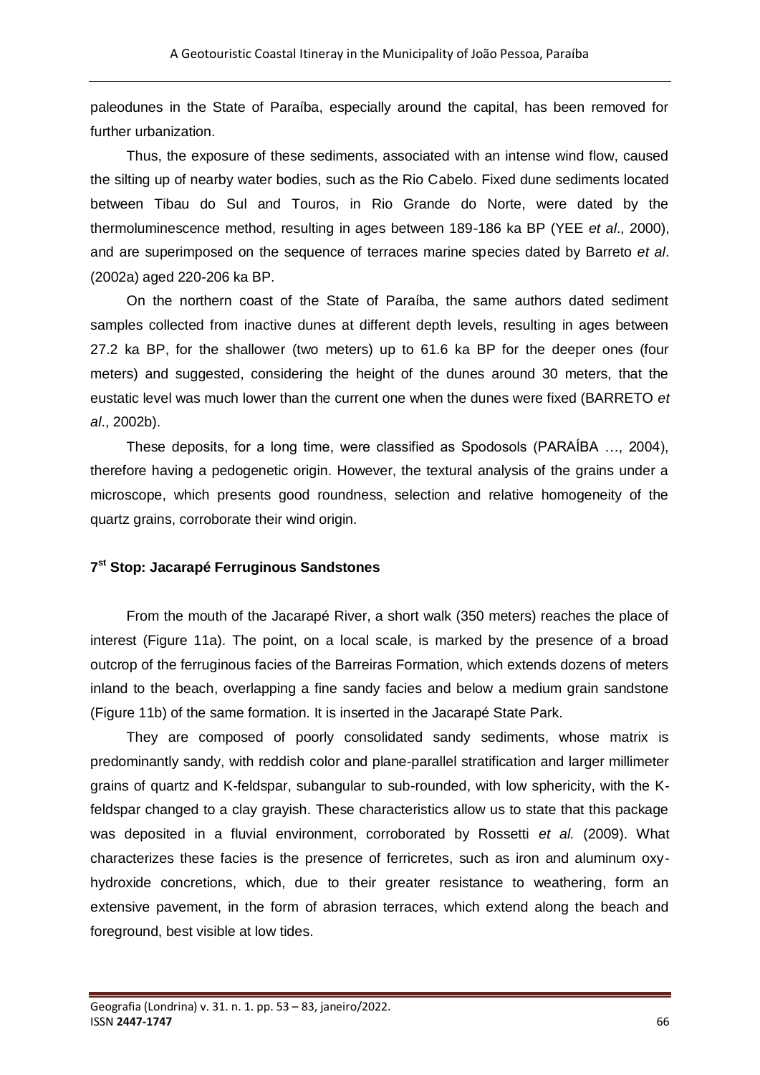paleodunes in the State of Paraíba, especially around the capital, has been removed for further urbanization.

Thus, the exposure of these sediments, associated with an intense wind flow, caused the silting up of nearby water bodies, such as the Rio Cabelo. Fixed dune sediments located between Tibau do Sul and Touros, in Rio Grande do Norte, were dated by the thermoluminescence method, resulting in ages between 189-186 ka BP (YEE *et al*., 2000), and are superimposed on the sequence of terraces marine species dated by Barreto *et al*. (2002a) aged 220-206 ka BP.

On the northern coast of the State of Paraíba, the same authors dated sediment samples collected from inactive dunes at different depth levels, resulting in ages between 27.2 ka BP, for the shallower (two meters) up to 61.6 ka BP for the deeper ones (four meters) and suggested, considering the height of the dunes around 30 meters, that the eustatic level was much lower than the current one when the dunes were fixed (BARRETO *et al*., 2002b).

These deposits, for a long time, were classified as Spodosols (PARAÍBA …, 2004), therefore having a pedogenetic origin. However, the textural analysis of the grains under a microscope, which presents good roundness, selection and relative homogeneity of the quartz grains, corroborate their wind origin.

#### **7 st Stop: Jacarapé Ferruginous Sandstones**

From the mouth of the Jacarapé River, a short walk (350 meters) reaches the place of interest (Figure 11a). The point, on a local scale, is marked by the presence of a broad outcrop of the ferruginous facies of the Barreiras Formation, which extends dozens of meters inland to the beach, overlapping a fine sandy facies and below a medium grain sandstone (Figure 11b) of the same formation. It is inserted in the Jacarapé State Park.

They are composed of poorly consolidated sandy sediments, whose matrix is predominantly sandy, with reddish color and plane-parallel stratification and larger millimeter grains of quartz and K-feldspar, subangular to sub-rounded, with low sphericity, with the Kfeldspar changed to a clay grayish. These characteristics allow us to state that this package was deposited in a fluvial environment, corroborated by Rossetti *et al.* (2009). What characterizes these facies is the presence of ferricretes, such as iron and aluminum oxyhydroxide concretions, which, due to their greater resistance to weathering, form an extensive pavement, in the form of abrasion terraces, which extend along the beach and foreground, best visible at low tides.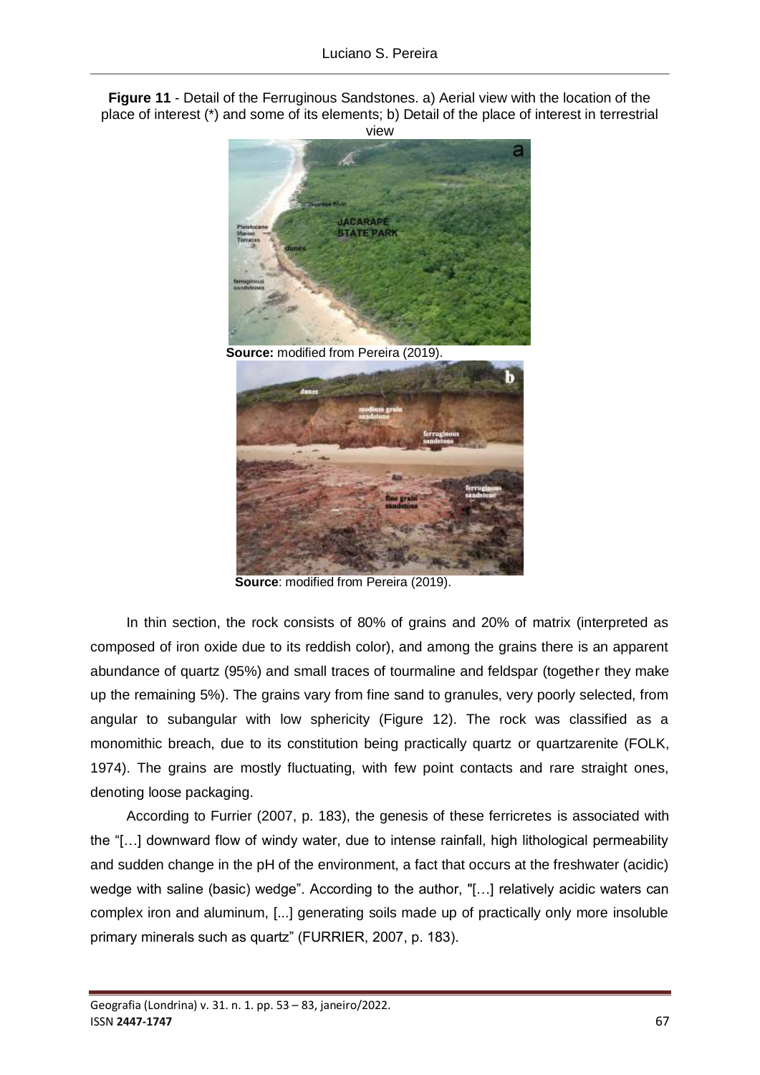**Figure 11** - Detail of the Ferruginous Sandstones. a) Aerial view with the location of the place of interest (\*) and some of its elements; b) Detail of the place of interest in terrestrial view





**Source**: modified from Pereira (2019).

In thin section, the rock consists of 80% of grains and 20% of matrix (interpreted as composed of iron oxide due to its reddish color), and among the grains there is an apparent abundance of quartz (95%) and small traces of tourmaline and feldspar (together they make up the remaining 5%). The grains vary from fine sand to granules, very poorly selected, from angular to subangular with low sphericity (Figure 12). The rock was classified as a monomithic breach, due to its constitution being practically quartz or quartzarenite (FOLK, 1974). The grains are mostly fluctuating, with few point contacts and rare straight ones, denoting loose packaging.

According to Furrier (2007, p. 183), the genesis of these ferricretes is associated with the "[…] downward flow of windy water, due to intense rainfall, high lithological permeability and sudden change in the pH of the environment, a fact that occurs at the freshwater (acidic) wedge with saline (basic) wedge". According to the author, "[…] relatively acidic waters can complex iron and aluminum, [...] generating soils made up of practically only more insoluble primary minerals such as quartz" (FURRIER, 2007, p. 183).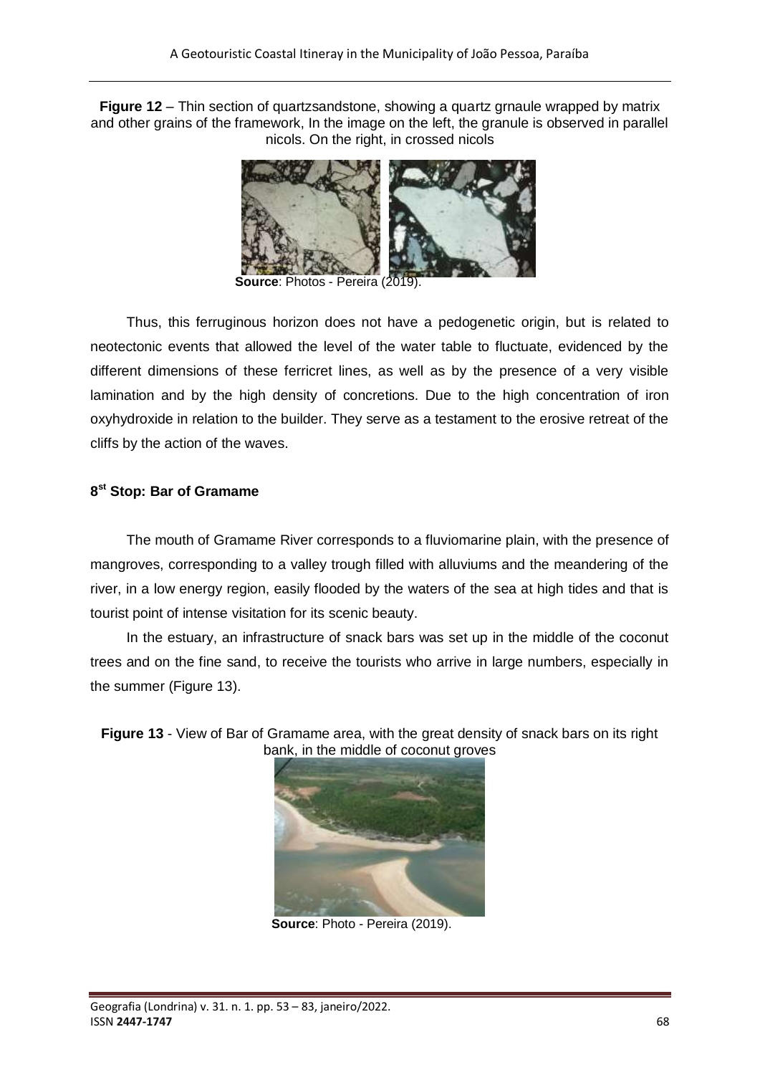**Figure 12** – Thin section of quartzsandstone, showing a quartz grnaule wrapped by matrix and other grains of the framework, In the image on the left, the granule is observed in parallel nicols. On the right, in crossed nicols



**Source**: Photos - Pereira (2019).

Thus, this ferruginous horizon does not have a pedogenetic origin, but is related to neotectonic events that allowed the level of the water table to fluctuate, evidenced by the different dimensions of these ferricret lines, as well as by the presence of a very visible lamination and by the high density of concretions. Due to the high concentration of iron oxyhydroxide in relation to the builder. They serve as a testament to the erosive retreat of the cliffs by the action of the waves.

## **8 st Stop: Bar of Gramame**

The mouth of Gramame River corresponds to a fluviomarine plain, with the presence of mangroves, corresponding to a valley trough filled with alluviums and the meandering of the river, in a low energy region, easily flooded by the waters of the sea at high tides and that is tourist point of intense visitation for its scenic beauty.

In the estuary, an infrastructure of snack bars was set up in the middle of the coconut trees and on the fine sand, to receive the tourists who arrive in large numbers, especially in the summer (Figure 13).

**Figure 13** - View of Bar of Gramame area, with the great density of snack bars on its right bank, in the middle of coconut groves



**Source**: Photo - Pereira (2019).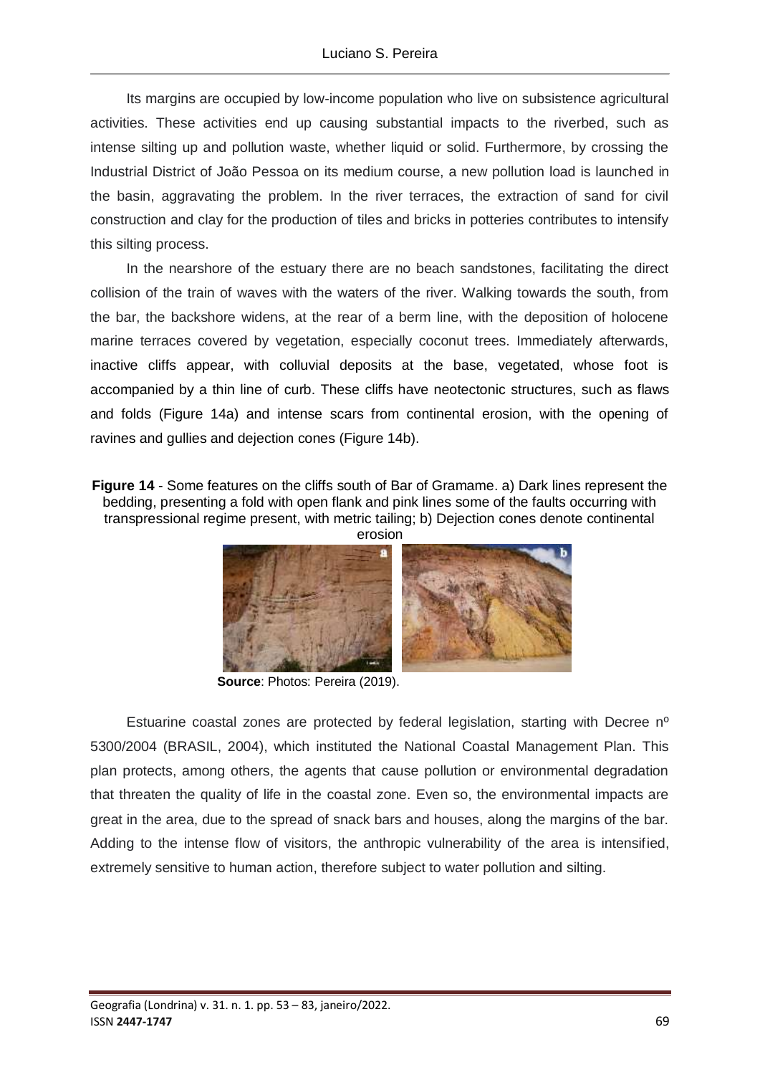Its margins are occupied by low-income population who live on subsistence agricultural activities. These activities end up causing substantial impacts to the riverbed, such as intense silting up and pollution waste, whether liquid or solid. Furthermore, by crossing the Industrial District of João Pessoa on its medium course, a new pollution load is launched in the basin, aggravating the problem. In the river terraces, the extraction of sand for civil construction and clay for the production of tiles and bricks in potteries contributes to intensify this silting process.

In the nearshore of the estuary there are no beach sandstones, facilitating the direct collision of the train of waves with the waters of the river. Walking towards the south, from the bar, the backshore widens, at the rear of a berm line, with the deposition of holocene marine terraces covered by vegetation, especially coconut trees. Immediately afterwards, inactive cliffs appear, with colluvial deposits at the base, vegetated, whose foot is accompanied by a thin line of curb. These cliffs have neotectonic structures, such as flaws and folds (Figure 14a) and intense scars from continental erosion, with the opening of ravines and gullies and dejection cones (Figure 14b).

**Figure 14** - Some features on the cliffs south of Bar of Gramame. a) Dark lines represent the bedding, presenting a fold with open flank and pink lines some of the faults occurring with transpressional regime present, with metric tailing; b) Dejection cones denote continental



**Source**: Photos: Pereira (2019).

Estuarine coastal zones are protected by federal legislation, starting with Decree nº 5300/2004 (BRASIL, 2004), which instituted the National Coastal Management Plan. This plan protects, among others, the agents that cause pollution or environmental degradation that threaten the quality of life in the coastal zone. Even so, the environmental impacts are great in the area, due to the spread of snack bars and houses, along the margins of the bar. Adding to the intense flow of visitors, the anthropic vulnerability of the area is intensified, extremely sensitive to human action, therefore subject to water pollution and silting.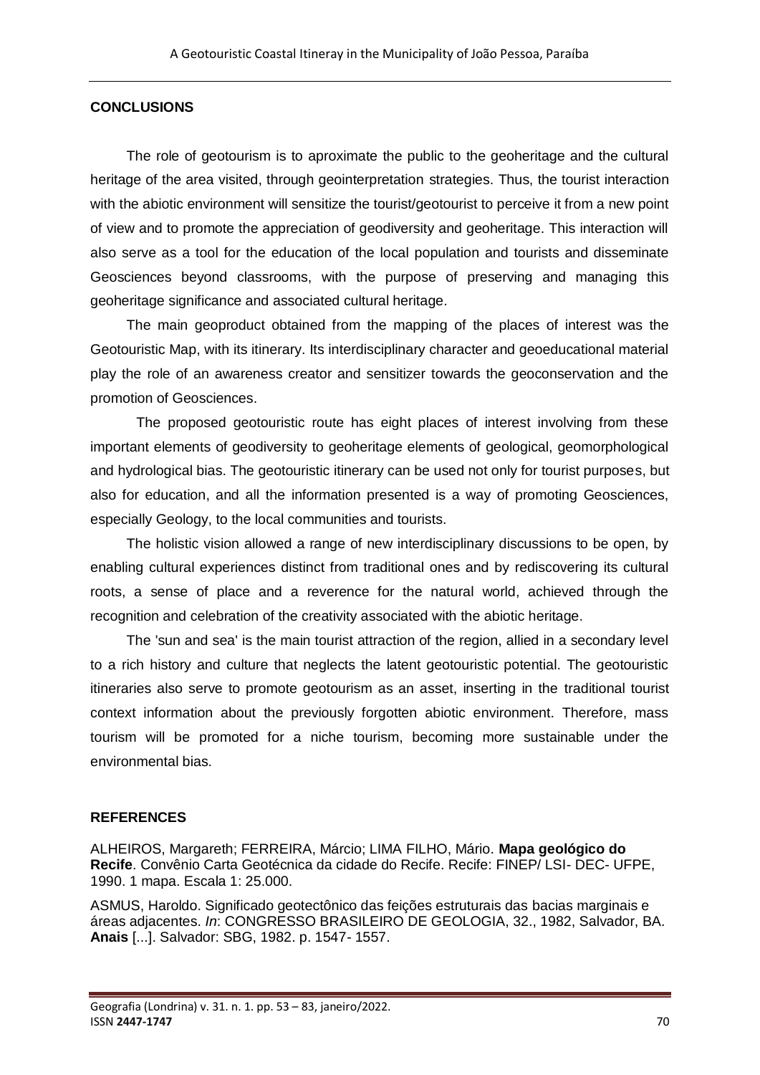## **CONCLUSIONS**

The role of geotourism is to aproximate the public to the geoheritage and the cultural heritage of the area visited, through geointerpretation strategies. Thus, the tourist interaction with the abiotic environment will sensitize the tourist/geotourist to perceive it from a new point of view and to promote the appreciation of geodiversity and geoheritage. This interaction will also serve as a tool for the education of the local population and tourists and disseminate Geosciences beyond classrooms, with the purpose of preserving and managing this geoheritage significance and associated cultural heritage.

The main geoproduct obtained from the mapping of the places of interest was the Geotouristic Map, with its itinerary. Its interdisciplinary character and geoeducational material play the role of an awareness creator and sensitizer towards the geoconservation and the promotion of Geosciences.

The proposed geotouristic route has eight places of interest involving from these important elements of geodiversity to geoheritage elements of geological, geomorphological and hydrological bias. The geotouristic itinerary can be used not only for tourist purposes, but also for education, and all the information presented is a way of promoting Geosciences, especially Geology, to the local communities and tourists.

The holistic vision allowed a range of new interdisciplinary discussions to be open, by enabling cultural experiences distinct from traditional ones and by rediscovering its cultural roots, a sense of place and a reverence for the natural world, achieved through the recognition and celebration of the creativity associated with the abiotic heritage.

The 'sun and sea' is the main tourist attraction of the region, allied in a secondary level to a rich history and culture that neglects the latent geotouristic potential. The geotouristic itineraries also serve to promote geotourism as an asset, inserting in the traditional tourist context information about the previously forgotten abiotic environment. Therefore, mass tourism will be promoted for a niche tourism, becoming more sustainable under the environmental bias.

## **REFERENCES**

ALHEIROS, Margareth; FERREIRA, Márcio; LIMA FILHO, Mário. **Mapa geológico do Recife**. Convênio Carta Geotécnica da cidade do Recife. Recife: FINEP/ LSI- DEC- UFPE, 1990. 1 mapa. Escala 1: 25.000.

ASMUS, Haroldo. Significado geotectônico das feições estruturais das bacias marginais e áreas adjacentes. *In*: CONGRESSO BRASILEIRO DE GEOLOGIA, 32., 1982, Salvador, BA. **Anais** [...]. Salvador: SBG, 1982. p. 1547- 1557.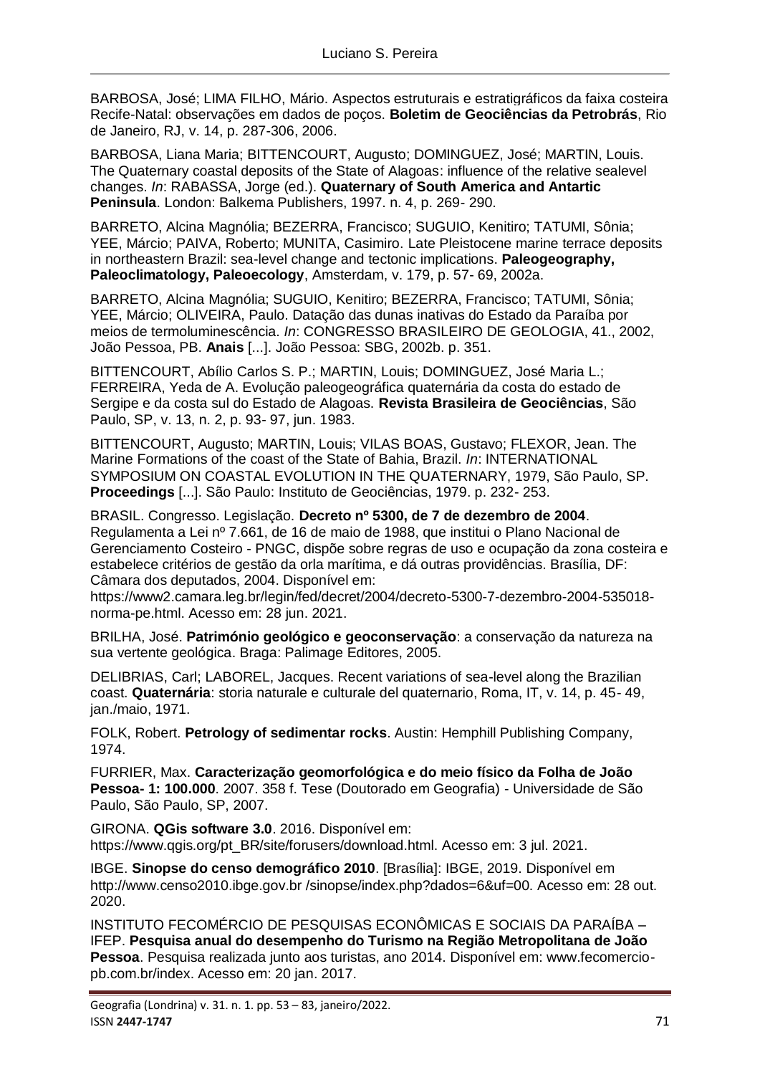BARBOSA, José; LIMA FILHO, Mário. Aspectos estruturais e estratigráficos da faixa costeira Recife-Natal: observações em dados de poços. **Boletim de Geociências da Petrobrás**, Rio de Janeiro, RJ, v. 14, p. 287-306, 2006.

BARBOSA, Liana Maria; BITTENCOURT, Augusto; DOMINGUEZ, José; MARTIN, Louis. The Quaternary coastal deposits of the State of Alagoas: influence of the relative sealevel changes. *In*: RABASSA, Jorge (ed.). **Quaternary of South America and Antartic Peninsula**. London: Balkema Publishers, 1997. n. 4, p. 269- 290.

BARRETO, Alcina Magnólia; BEZERRA, Francisco; SUGUIO, Kenitiro; TATUMI, Sônia; YEE, Márcio; PAIVA, Roberto; MUNITA, Casimiro. Late Pleistocene marine terrace deposits in northeastern Brazil: sea-level change and tectonic implications. **Paleogeography, Paleoclimatology, Paleoecology**, Amsterdam, v. 179, p. 57- 69, 2002a.

BARRETO, Alcina Magnólia; SUGUIO, Kenitiro; BEZERRA, Francisco; TATUMI, Sônia; YEE, Márcio; OLIVEIRA, Paulo. Datação das dunas inativas do Estado da Paraíba por meios de termoluminescência. *In*: CONGRESSO BRASILEIRO DE GEOLOGIA, 41., 2002, João Pessoa, PB. **Anais** [...]. João Pessoa: SBG, 2002b. p. 351.

BITTENCOURT, Abílio Carlos S. P.; MARTIN, Louis; DOMINGUEZ, José Maria L.; FERREIRA, Yeda de A. Evolução paleogeográfica quaternária da costa do estado de Sergipe e da costa sul do Estado de Alagoas. **Revista Brasileira de Geociências**, São Paulo, SP, v. 13, n. 2, p. 93- 97, jun. 1983.

BITTENCOURT, Augusto; MARTIN, Louis; VILAS BOAS, Gustavo; FLEXOR, Jean. The Marine Formations of the coast of the State of Bahia, Brazil. *In*: INTERNATIONAL SYMPOSIUM ON COASTAL EVOLUTION IN THE QUATERNARY, 1979, São Paulo, SP. **Proceedings** [...]. São Paulo: Instituto de Geociências, 1979. p. 232- 253.

BRASIL. Congresso. Legislação. **Decreto nº 5300, de 7 de dezembro de 2004**. Regulamenta a Lei nº 7.661, de 16 de maio de 1988, que institui o Plano Nacional de Gerenciamento Costeiro - PNGC, dispõe sobre regras de uso e ocupação da zona costeira e estabelece critérios de gestão da orla marítima, e dá outras providências. Brasília, DF: Câmara dos deputados, 2004. Disponível em:

https://www2.camara.leg.br/legin/fed/decret/2004/decreto-5300-7-dezembro-2004-535018 norma-pe.html. Acesso em: 28 jun. 2021.

BRILHA, José. **Património geológico e geoconservação**: a conservação da natureza na sua vertente geológica. Braga: Palimage Editores, 2005.

DELIBRIAS, Carl; LABOREL, Jacques. Recent variations of sea-level along the Brazilian coast. **Quaternária**: storia naturale e culturale del quaternario, Roma, IT, v. 14, p. 45- 49, jan./maio, 1971.

FOLK, Robert. **Petrology of sedimentar rocks**. Austin: Hemphill Publishing Company, 1974.

FURRIER, Max. **Caracterização geomorfológica e do meio físico da Folha de João Pessoa- 1: 100.000**. 2007. 358 f. Tese (Doutorado em Geografia) - Universidade de São Paulo, São Paulo, SP, 2007.

GIRONA. **QGis software 3.0**. 2016. Disponível em: https://www.qgis.org/pt\_BR/site/forusers/download.html. Acesso em: 3 jul. 2021.

IBGE. **Sinopse do censo demográfico 2010**. [Brasília]: IBGE, 2019. Disponível em http://www.censo2010.ibge.gov.br /sinopse/index.php?dados=6&uf=00. Acesso em: 28 out. 2020.

INSTITUTO FECOMÉRCIO DE PESQUISAS ECONÔMICAS E SOCIAIS DA PARAÍBA – IFEP. **Pesquisa anual do desempenho do Turismo na Região Metropolitana de João Pessoa**. Pesquisa realizada junto aos turistas, ano 2014. Disponível em: www.fecomerciopb.com.br/index. Acesso em: 20 jan. 2017.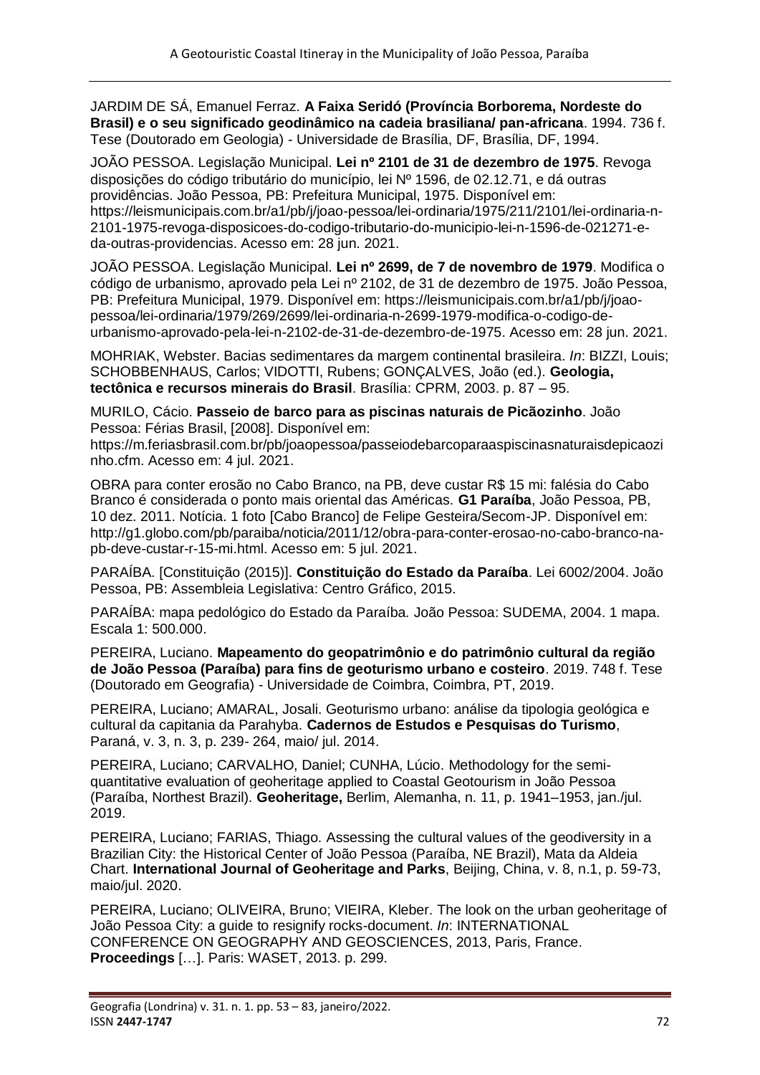JARDIM DE SÁ, Emanuel Ferraz. **A Faixa Seridó (Província Borborema, Nordeste do Brasil) e o seu significado geodinâmico na cadeia brasiliana/ pan-africana**. 1994. 736 f. Tese (Doutorado em Geologia) - Universidade de Brasília, DF, Brasília, DF, 1994.

JOÃO PESSOA. Legislação Municipal. **Lei nº 2101 de 31 de dezembro de 1975**. Revoga disposições do código tributário do município, lei Nº 1596, de 02.12.71, e dá outras providências. João Pessoa, PB: Prefeitura Municipal, 1975. Disponível em: https://leismunicipais.com.br/a1/pb/j/joao-pessoa/lei-ordinaria/1975/211/2101/lei-ordinaria-n-2101-1975-revoga-disposicoes-do-codigo-tributario-do-municipio-lei-n-1596-de-021271-eda-outras-providencias. Acesso em: 28 jun. 2021.

JOÃO PESSOA. Legislação Municipal. **Lei nº 2699, de 7 de novembro de 1979**. Modifica o código de urbanismo, aprovado pela Lei nº 2102, de 31 de dezembro de 1975. João Pessoa, PB: Prefeitura Municipal, 1979. Disponível em: https://leismunicipais.com.br/a1/pb/j/joaopessoa/lei-ordinaria/1979/269/2699/lei-ordinaria-n-2699-1979-modifica-o-codigo-deurbanismo-aprovado-pela-lei-n-2102-de-31-de-dezembro-de-1975. Acesso em: 28 jun. 2021.

MOHRIAK, Webster. Bacias sedimentares da margem continental brasileira. *In*: BIZZI, Louis; SCHOBBENHAUS, Carlos; VIDOTTI, Rubens; GONÇALVES, João (ed.). **Geologia, tectônica e recursos minerais do Brasil**. Brasília: CPRM, 2003. p. 87 – 95.

MURILO, Cácio. **Passeio de barco para as piscinas naturais de Picãozinho**. João Pessoa: Férias Brasil, [2008]. Disponível em:

https://m.feriasbrasil.com.br/pb/joaopessoa/passeiodebarcoparaaspiscinasnaturaisdepicaozi nho.cfm. Acesso em: 4 jul. 2021.

OBRA para conter erosão no Cabo Branco, na PB, deve custar R\$ 15 mi: falésia do Cabo Branco é considerada o ponto mais oriental das Américas. **G1 Paraíba**, João Pessoa, PB, 10 dez. 2011. Notícia. 1 foto [Cabo Branco] de Felipe Gesteira/Secom-JP. Disponível em: http://g1.globo.com/pb/paraiba/noticia/2011/12/obra-para-conter-erosao-no-cabo-branco-napb-deve-custar-r-15-mi.html. Acesso em: 5 jul. 2021.

PARAÍBA. [Constituição (2015)]. **Constituição do Estado da Paraíba**. Lei 6002/2004. João Pessoa, PB: Assembleia Legislativa: Centro Gráfico, 2015.

PARAÍBA: mapa pedológico do Estado da Paraíba*.* João Pessoa: SUDEMA, 2004. 1 mapa. Escala 1: 500.000.

PEREIRA, Luciano. **Mapeamento do geopatrimônio e do patrimônio cultural da região de João Pessoa (Paraíba) para fins de geoturismo urbano e costeiro**. 2019. 748 f. Tese (Doutorado em Geografia) - Universidade de Coimbra, Coimbra, PT, 2019.

PEREIRA, Luciano; AMARAL, Josali. Geoturismo urbano: análise da tipologia geológica e cultural da capitania da Parahyba. **Cadernos de Estudos e Pesquisas do Turismo**, Paraná, v. 3, n. 3, p. 239- 264, maio/ jul. 2014.

PEREIRA, Luciano; CARVALHO, Daniel; CUNHA, Lúcio. Methodology for the semiquantitative evaluation of geoheritage applied to Coastal Geotourism in João Pessoa (Paraíba, Northest Brazil). **Geoheritage,** Berlim, Alemanha, n. 11, p. 1941–1953, jan./jul. 2019.

PEREIRA, Luciano; FARIAS, Thiago. Assessing the cultural values of the geodiversity in a Brazilian City: the Historical Center of João Pessoa (Paraíba, NE Brazil), Mata da Aldeia Chart. **International Journal of Geoheritage and Parks**, Beijing, China, v. 8, n.1, p. 59-73, maio/jul. 2020.

PEREIRA, Luciano; OLIVEIRA, Bruno; VIEIRA, Kleber. The look on the urban geoheritage of João Pessoa City: a guide to resignify rocks-document. *In*: INTERNATIONAL CONFERENCE ON GEOGRAPHY AND GEOSCIENCES, 2013, Paris, France. **Proceedings** […]. Paris: WASET, 2013. p. 299.